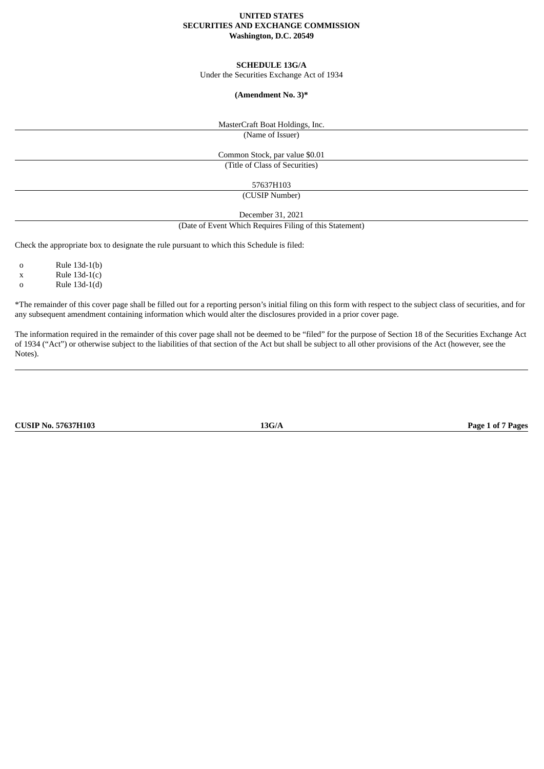## **UNITED STATES SECURITIES AND EXCHANGE COMMISSION Washington, D.C. 20549**

## **SCHEDULE 13G/A**

Under the Securities Exchange Act of 1934

## **(Amendment No. 3)\***

MasterCraft Boat Holdings, Inc.

(Name of Issuer)

Common Stock, par value \$0.01 (Title of Class of Securities)

57637H103

(CUSIP Number)

December 31, 2021

(Date of Event Which Requires Filing of this Statement)

Check the appropriate box to designate the rule pursuant to which this Schedule is filed:

o Rule 13d-1(b)

 $x$  Rule 13d-1(c)

o Rule 13d-1(d)

\*The remainder of this cover page shall be filled out for a reporting person's initial filing on this form with respect to the subject class of securities, and for any subsequent amendment containing information which would alter the disclosures provided in a prior cover page.

The information required in the remainder of this cover page shall not be deemed to be "filed" for the purpose of Section 18 of the Securities Exchange Act of 1934 ("Act") or otherwise subject to the liabilities of that section of the Act but shall be subject to all other provisions of the Act (however, see the Notes).

**CUSIP No. 57637H103 13G/A Page 1 of 7 Pages**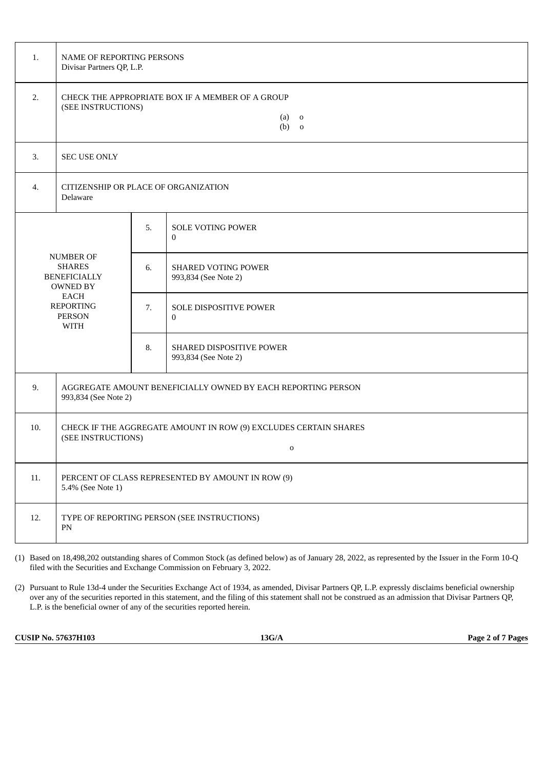| 1.                                                                                                                               | NAME OF REPORTING PERSONS<br>Divisar Partners QP, L.P.                                                |    |                                                    |  |  |  |  |
|----------------------------------------------------------------------------------------------------------------------------------|-------------------------------------------------------------------------------------------------------|----|----------------------------------------------------|--|--|--|--|
| 2.                                                                                                                               | CHECK THE APPROPRIATE BOX IF A MEMBER OF A GROUP<br>(SEE INSTRUCTIONS)<br>$(a)$ o<br>$(b)$ 0          |    |                                                    |  |  |  |  |
| 3.                                                                                                                               | <b>SEC USE ONLY</b>                                                                                   |    |                                                    |  |  |  |  |
| 4.                                                                                                                               | CITIZENSHIP OR PLACE OF ORGANIZATION<br>Delaware                                                      |    |                                                    |  |  |  |  |
| NUMBER OF<br><b>SHARES</b><br><b>BENEFICIALLY</b><br><b>OWNED BY</b><br><b>EACH</b><br><b>REPORTING</b><br><b>PERSON</b><br>WITH |                                                                                                       | 5. | <b>SOLE VOTING POWER</b><br>$\mathbf{0}$           |  |  |  |  |
|                                                                                                                                  |                                                                                                       | 6. | <b>SHARED VOTING POWER</b><br>993,834 (See Note 2) |  |  |  |  |
|                                                                                                                                  |                                                                                                       | 7. | SOLE DISPOSITIVE POWER<br>$\bf{0}$                 |  |  |  |  |
|                                                                                                                                  |                                                                                                       | 8. | SHARED DISPOSITIVE POWER<br>993,834 (See Note 2)   |  |  |  |  |
| 9.                                                                                                                               | AGGREGATE AMOUNT BENEFICIALLY OWNED BY EACH REPORTING PERSON<br>993,834 (See Note 2)                  |    |                                                    |  |  |  |  |
| 10.                                                                                                                              | CHECK IF THE AGGREGATE AMOUNT IN ROW (9) EXCLUDES CERTAIN SHARES<br>(SEE INSTRUCTIONS)<br>$\mathbf 0$ |    |                                                    |  |  |  |  |
| 11.                                                                                                                              | PERCENT OF CLASS REPRESENTED BY AMOUNT IN ROW (9)<br>5.4% (See Note 1)                                |    |                                                    |  |  |  |  |
| 12.                                                                                                                              | TYPE OF REPORTING PERSON (SEE INSTRUCTIONS)<br>PN                                                     |    |                                                    |  |  |  |  |

(1) Based on 18,498,202 outstanding shares of Common Stock (as defined below) as of January 28, 2022, as represented by the Issuer in the Form 10-Q filed with the Securities and Exchange Commission on February 3, 2022.

(2) Pursuant to Rule 13d-4 under the Securities Exchange Act of 1934, as amended, Divisar Partners QP, L.P. expressly disclaims beneficial ownership over any of the securities reported in this statement, and the filing of this statement shall not be construed as an admission that Divisar Partners QP, L.P. is the beneficial owner of any of the securities reported herein.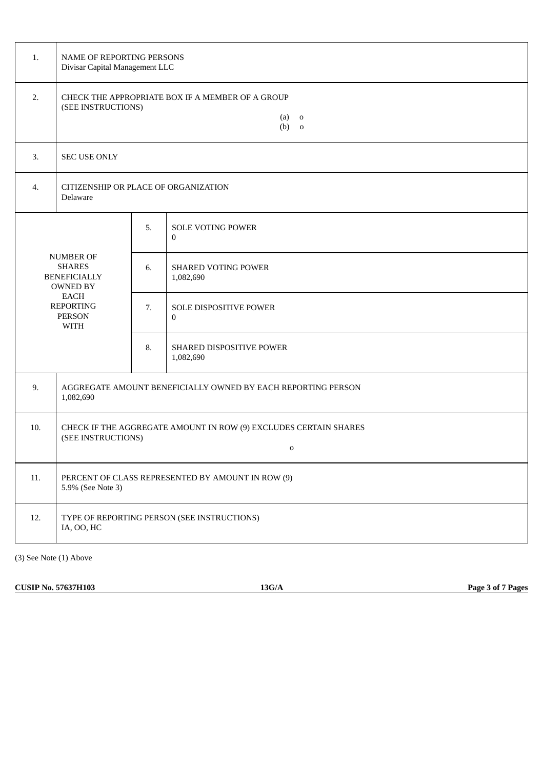| 1.                                                                          | NAME OF REPORTING PERSONS<br>Divisar Capital Management LLC                                                         |    |                                               |  |  |  |
|-----------------------------------------------------------------------------|---------------------------------------------------------------------------------------------------------------------|----|-----------------------------------------------|--|--|--|
| 2.                                                                          | CHECK THE APPROPRIATE BOX IF A MEMBER OF A GROUP<br>(SEE INSTRUCTIONS)<br>(a)<br>$\overline{\mathbf{0}}$<br>$(b)$ o |    |                                               |  |  |  |
| 3.                                                                          | SEC USE ONLY                                                                                                        |    |                                               |  |  |  |
| $\overline{4}$ .                                                            | CITIZENSHIP OR PLACE OF ORGANIZATION<br>Delaware                                                                    |    |                                               |  |  |  |
| <b>NUMBER OF</b><br><b>SHARES</b><br><b>BENEFICIALLY</b><br><b>OWNED BY</b> |                                                                                                                     | 5. | <b>SOLE VOTING POWER</b><br>$\mathbf{0}$      |  |  |  |
|                                                                             |                                                                                                                     | 6. | <b>SHARED VOTING POWER</b><br>1,082,690       |  |  |  |
|                                                                             | EACH<br><b>REPORTING</b><br><b>PERSON</b><br><b>WITH</b>                                                            |    | <b>SOLE DISPOSITIVE POWER</b><br>$\mathbf{0}$ |  |  |  |
|                                                                             |                                                                                                                     | 8. | SHARED DISPOSITIVE POWER<br>1,082,690         |  |  |  |
| 9.                                                                          | AGGREGATE AMOUNT BENEFICIALLY OWNED BY EACH REPORTING PERSON<br>1,082,690                                           |    |                                               |  |  |  |
| 10.                                                                         | CHECK IF THE AGGREGATE AMOUNT IN ROW (9) EXCLUDES CERTAIN SHARES<br>(SEE INSTRUCTIONS)<br>$\mathbf{O}$              |    |                                               |  |  |  |
| 11.                                                                         | PERCENT OF CLASS REPRESENTED BY AMOUNT IN ROW (9)<br>5.9% (See Note 3)                                              |    |                                               |  |  |  |
| 12.                                                                         | TYPE OF REPORTING PERSON (SEE INSTRUCTIONS)<br>IA, OO, HC                                                           |    |                                               |  |  |  |

(3) See Note (1) Above

**CUSIP No. 57637H103 13G/A Page 3 of 7 Pages**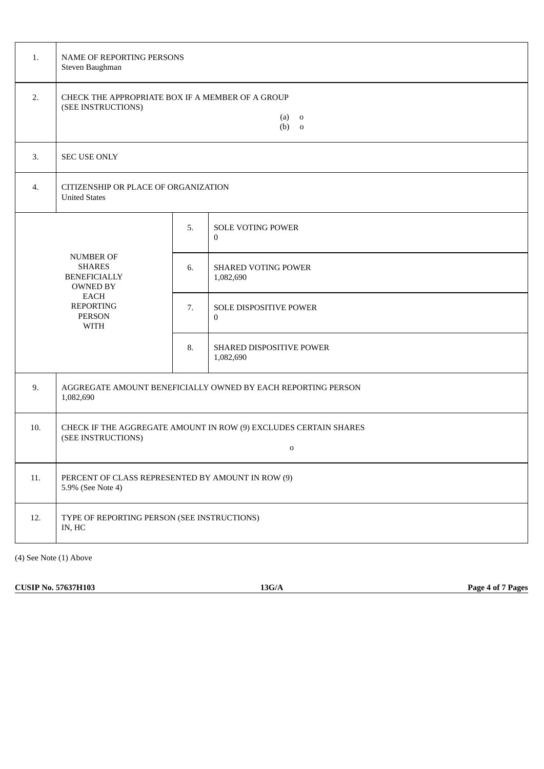| 1.               | NAME OF REPORTING PERSONS<br>Steven Baughman                                                                                            |    |                                          |  |  |  |
|------------------|-----------------------------------------------------------------------------------------------------------------------------------------|----|------------------------------------------|--|--|--|
| 2.               | CHECK THE APPROPRIATE BOX IF A MEMBER OF A GROUP<br>(SEE INSTRUCTIONS)<br>(a)<br>$\overline{\mathbf{0}}$<br>$(b)$ o                     |    |                                          |  |  |  |
| 3.               | SEC USE ONLY                                                                                                                            |    |                                          |  |  |  |
| $\overline{4}$ . | CITIZENSHIP OR PLACE OF ORGANIZATION<br><b>United States</b>                                                                            |    |                                          |  |  |  |
|                  | <b>NUMBER OF</b><br><b>SHARES</b><br><b>BENEFICIALLY</b><br>OWNED BY<br><b>EACH</b><br><b>REPORTING</b><br><b>PERSON</b><br><b>WITH</b> |    | <b>SOLE VOTING POWER</b><br>$\mathbf{0}$ |  |  |  |
|                  |                                                                                                                                         |    | <b>SHARED VOTING POWER</b><br>1,082,690  |  |  |  |
|                  |                                                                                                                                         |    | SOLE DISPOSITIVE POWER<br>$\mathbf{0}$   |  |  |  |
|                  |                                                                                                                                         | 8. | SHARED DISPOSITIVE POWER<br>1,082,690    |  |  |  |
| 9.               | AGGREGATE AMOUNT BENEFICIALLY OWNED BY EACH REPORTING PERSON<br>1,082,690                                                               |    |                                          |  |  |  |
| 10.              | CHECK IF THE AGGREGATE AMOUNT IN ROW (9) EXCLUDES CERTAIN SHARES<br>(SEE INSTRUCTIONS)<br>$\mathbf{O}$                                  |    |                                          |  |  |  |
| 11.              | PERCENT OF CLASS REPRESENTED BY AMOUNT IN ROW (9)<br>5.9% (See Note 4)                                                                  |    |                                          |  |  |  |
| 12.              | TYPE OF REPORTING PERSON (SEE INSTRUCTIONS)<br>IN, HC                                                                                   |    |                                          |  |  |  |

(4) See Note (1) Above

**CUSIP No. 57637H103 13G/A Page 4 of 7 Pages**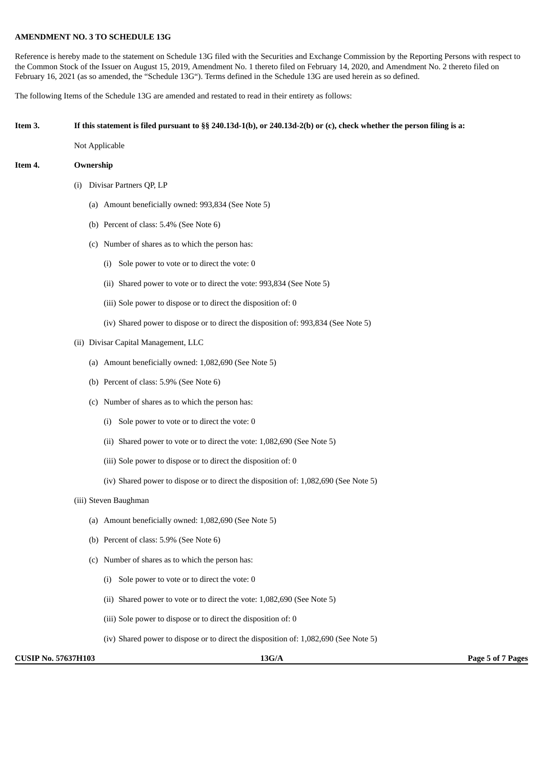# **AMENDMENT NO. 3 TO SCHEDULE 13G**

Reference is hereby made to the statement on Schedule 13G filed with the Securities and Exchange Commission by the Reporting Persons with respect to the Common Stock of the Issuer on August 15, 2019, Amendment No. 1 thereto filed on February 14, 2020, and Amendment No. 2 thereto filed on February 16, 2021 (as so amended, the "Schedule 13G"). Terms defined in the Schedule 13G are used herein as so defined.

The following Items of the Schedule 13G are amended and restated to read in their entirety as follows:

#### If this statement is filed pursuant to §§ 240.13d-1(b), or 240.13d-2(b) or (c), check whether the person filing is a:

Not Applicable

#### **Item 4. Ownership**

- (i) Divisar Partners QP, LP
	- (a) Amount beneficially owned: 993,834 (See Note 5)
	- (b) Percent of class: 5.4% (See Note 6)
	- (c) Number of shares as to which the person has:
		- (i) Sole power to vote or to direct the vote: 0
		- (ii) Shared power to vote or to direct the vote: 993,834 (See Note 5)
		- (iii) Sole power to dispose or to direct the disposition of: 0
		- (iv) Shared power to dispose or to direct the disposition of: 993,834 (See Note 5)
- (ii) Divisar Capital Management, LLC
	- (a) Amount beneficially owned: 1,082,690 (See Note 5)
	- (b) Percent of class: 5.9% (See Note 6)
	- (c) Number of shares as to which the person has:
		- (i) Sole power to vote or to direct the vote: 0
		- (ii) Shared power to vote or to direct the vote: 1,082,690 (See Note 5)
		- (iii) Sole power to dispose or to direct the disposition of: 0
		- (iv) Shared power to dispose or to direct the disposition of: 1,082,690 (See Note 5)
- (iii) Steven Baughman
	- (a) Amount beneficially owned: 1,082,690 (See Note 5)
	- (b) Percent of class: 5.9% (See Note 6)
	- (c) Number of shares as to which the person has:
		- (i) Sole power to vote or to direct the vote: 0
		- (ii) Shared power to vote or to direct the vote: 1,082,690 (See Note 5)
		- (iii) Sole power to dispose or to direct the disposition of: 0
		- (iv) Shared power to dispose or to direct the disposition of: 1,082,690 (See Note 5)

**CUSIP No. 57637H103 13G/A Page 5 of 7 Pages**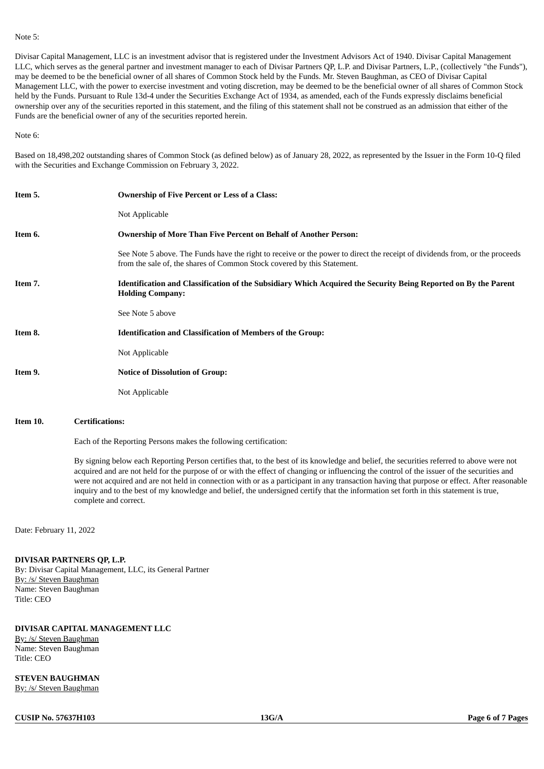#### Note 5:

Divisar Capital Management, LLC is an investment advisor that is registered under the Investment Advisors Act of 1940. Divisar Capital Management LLC, which serves as the general partner and investment manager to each of Divisar Partners QP, L.P. and Divisar Partners, L.P., (collectively "the Funds"), may be deemed to be the beneficial owner of all shares of Common Stock held by the Funds. Mr. Steven Baughman, as CEO of Divisar Capital Management LLC, with the power to exercise investment and voting discretion, may be deemed to be the beneficial owner of all shares of Common Stock held by the Funds. Pursuant to Rule 13d-4 under the Securities Exchange Act of 1934, as amended, each of the Funds expressly disclaims beneficial ownership over any of the securities reported in this statement, and the filing of this statement shall not be construed as an admission that either of the Funds are the beneficial owner of any of the securities reported herein.

Note 6:

Based on 18,498,202 outstanding shares of Common Stock (as defined below) as of January 28, 2022, as represented by the Issuer in the Form 10-Q filed with the Securities and Exchange Commission on February 3, 2022.

| Item 5. | <b>Ownership of Five Percent or Less of a Class:</b>                                                                                                                                                   |
|---------|--------------------------------------------------------------------------------------------------------------------------------------------------------------------------------------------------------|
|         | Not Applicable                                                                                                                                                                                         |
| Item 6. | <b>Ownership of More Than Five Percent on Behalf of Another Person:</b>                                                                                                                                |
|         | See Note 5 above. The Funds have the right to receive or the power to direct the receipt of dividends from, or the proceeds<br>from the sale of, the shares of Common Stock covered by this Statement. |
| Item 7. | Identification and Classification of the Subsidiary Which Acquired the Security Being Reported on By the Parent<br><b>Holding Company:</b>                                                             |
|         | See Note 5 above                                                                                                                                                                                       |
| Item 8. | <b>Identification and Classification of Members of the Group:</b>                                                                                                                                      |
|         | Not Applicable                                                                                                                                                                                         |
| Item 9. | <b>Notice of Dissolution of Group:</b>                                                                                                                                                                 |
|         | Not Applicable                                                                                                                                                                                         |

#### **Item 10. Certifications:**

Each of the Reporting Persons makes the following certification:

By signing below each Reporting Person certifies that, to the best of its knowledge and belief, the securities referred to above were not acquired and are not held for the purpose of or with the effect of changing or influencing the control of the issuer of the securities and were not acquired and are not held in connection with or as a participant in any transaction having that purpose or effect. After reasonable inquiry and to the best of my knowledge and belief, the undersigned certify that the information set forth in this statement is true, complete and correct.

Date: February 11, 2022

#### **DIVISAR PARTNERS QP, L.P.**

By: Divisar Capital Management, LLC, its General Partner By: /s/ Steven Baughman Name: Steven Baughman Title: CEO

## **DIVISAR CAPITAL MANAGEMENT LLC**

By: /s/ Steven Baughman Name: Steven Baughman Title: CEO

**STEVEN BAUGHMAN** By: /s/ Steven Baughman